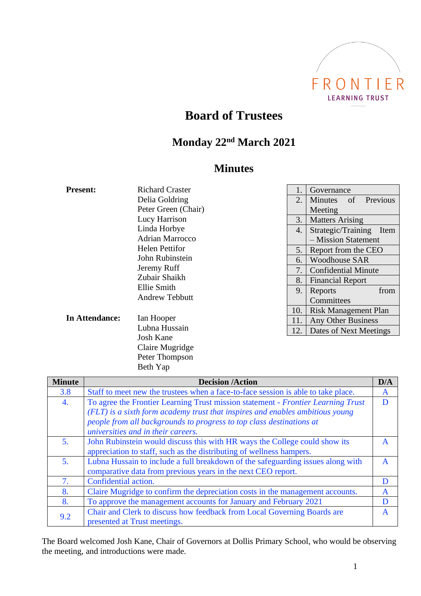

# **Board of Trustees**

## **Monday 22nd March 2021**

### **Minutes**

| <b>Present:</b> | <b>Richard Craster</b>                    |                                  | Governance                                  |  |
|-----------------|-------------------------------------------|----------------------------------|---------------------------------------------|--|
|                 | Delia Goldring                            | 2.                               | Previous<br><b>Minutes</b><br>of            |  |
|                 | Peter Green (Chair)                       |                                  | Meeting                                     |  |
|                 | Lucy Harrison                             |                                  | <b>Matters Arising</b>                      |  |
|                 | Linda Horbye                              | 4.                               | Strategic/Training<br>Item                  |  |
|                 | <b>Adrian Marrocco</b>                    |                                  | - Mission Statement                         |  |
|                 | <b>Helen Pettifor</b>                     | 5.                               | Report from the CEO<br><b>Woodhouse SAR</b> |  |
|                 | John Rubinstein                           | 6.                               |                                             |  |
|                 | Jeremy Ruff                               | 7.<br><b>Confidential Minute</b> |                                             |  |
|                 | Zubair Shaikh                             | 8.                               | <b>Financial Report</b>                     |  |
|                 | Ellie Smith                               | 9.                               | from<br>Reports                             |  |
|                 | <b>Andrew Tebbutt</b>                     |                                  | Committees                                  |  |
|                 | Ian Hooper<br>Lubna Hussain<br><b>TIP</b> | 10.                              | Risk Management Plan                        |  |
| In Attendance:  |                                           | 11.                              | Any Other Business                          |  |
|                 |                                           | 12.                              | Dates of Next Meetings                      |  |

|               | <b>Josh Kane</b><br>Claire Mugridge<br>Peter Thompson<br>Beth Yap                                                                                                                                                                                                               |     |
|---------------|---------------------------------------------------------------------------------------------------------------------------------------------------------------------------------------------------------------------------------------------------------------------------------|-----|
| <b>Minute</b> | <b>Decision /Action</b>                                                                                                                                                                                                                                                         | D/A |
| 3.8           | Staff to meet new the trustees when a face-to-face session is able to take place.                                                                                                                                                                                               | A   |
| 4.            | To agree the Frontier Learning Trust mission statement - Frontier Learning Trust<br>(FLT) is a sixth form academy trust that inspires and enables ambitious young<br>people from all backgrounds to progress to top class destinations at<br>universities and in their careers. | D   |
|               | John Rubinstoin would discuss this with HR wave the College could show its                                                                                                                                                                                                      |     |

| 3.8 | Staff to meet new the trustees when a face-to-face session is able to take place. | A            |
|-----|-----------------------------------------------------------------------------------|--------------|
| 4.  | To agree the Frontier Learning Trust mission statement - Frontier Learning Trust  | Ð            |
|     | (FLT) is a sixth form academy trust that inspires and enables ambitious young     |              |
|     | people from all backgrounds to progress to top class destinations at              |              |
|     | universities and in their careers.                                                |              |
| 5.  | John Rubinstein would discuss this with HR ways the College could show its        | A            |
|     | appreciation to staff, such as the distributing of wellness hampers.              |              |
| 5.  | Lubna Hussain to include a full breakdown of the safeguarding issues along with   | A            |
|     | comparative data from previous years in the next CEO report.                      |              |
| 7.  | Confidential action.                                                              | D            |
| 8.  | Claire Mugridge to confirm the depreciation costs in the management accounts.     | A            |
| 8.  | To approve the management accounts for January and February 2021                  |              |
| 9.2 | Chair and Clerk to discuss how feedback from Local Governing Boards are           | $\mathsf{A}$ |
|     | presented at Trust meetings.                                                      |              |

The Board welcomed Josh Kane, Chair of Governors at Dollis Primary School, who would be observing the meeting, and introductions were made.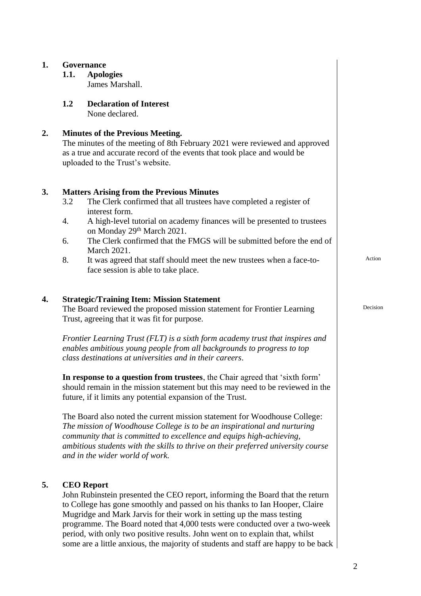| 1.               |      | Governance                                                                                                                                                                                                                                                                                                                                            |          |
|------------------|------|-------------------------------------------------------------------------------------------------------------------------------------------------------------------------------------------------------------------------------------------------------------------------------------------------------------------------------------------------------|----------|
|                  | 1.1. | <b>Apologies</b>                                                                                                                                                                                                                                                                                                                                      |          |
|                  |      | James Marshall.                                                                                                                                                                                                                                                                                                                                       |          |
|                  | 1.2  | <b>Declaration of Interest</b>                                                                                                                                                                                                                                                                                                                        |          |
|                  |      | None declared.                                                                                                                                                                                                                                                                                                                                        |          |
| 2.               |      | <b>Minutes of the Previous Meeting.</b><br>The minutes of the meeting of 8th February 2021 were reviewed and approved<br>as a true and accurate record of the events that took place and would be<br>uploaded to the Trust's website.                                                                                                                 |          |
| 3.               | 3.2  | <b>Matters Arising from the Previous Minutes</b><br>The Clerk confirmed that all trustees have completed a register of                                                                                                                                                                                                                                |          |
|                  | 4.   | interest form.<br>A high-level tutorial on academy finances will be presented to trustees<br>on Monday 29th March 2021.                                                                                                                                                                                                                               |          |
|                  | 6.   | The Clerk confirmed that the FMGS will be submitted before the end of<br>March 2021.                                                                                                                                                                                                                                                                  |          |
|                  | 8.   | It was agreed that staff should meet the new trustees when a face-to-<br>face session is able to take place.                                                                                                                                                                                                                                          | Action   |
| $\overline{4}$ . |      | <b>Strategic/Training Item: Mission Statement</b><br>The Board reviewed the proposed mission statement for Frontier Learning<br>Trust, agreeing that it was fit for purpose.                                                                                                                                                                          | Decision |
|                  |      | Frontier Learning Trust (FLT) is a sixth form academy trust that inspires and<br>enables ambitious young people from all backgrounds to progress to top<br>class destinations at universities and in their careers.                                                                                                                                   |          |
|                  |      | In response to a question from trustees, the Chair agreed that 'sixth form'<br>should remain in the mission statement but this may need to be reviewed in the<br>future, if it limits any potential expansion of the Trust.                                                                                                                           |          |
|                  |      | The Board also noted the current mission statement for Woodhouse College:<br>The mission of Woodhouse College is to be an inspirational and nurturing<br>community that is committed to excellence and equips high-achieving,<br>ambitious students with the skills to thrive on their preferred university course<br>and in the wider world of work. |          |
| 5.               |      | <b>CEO</b> Report<br>John Rubinstein presented the CEO report, informing the Board that the return<br>to College has gone smoothly and passed on his thanks to Ian Hooper, Claire<br>Mugridge and Mark Jarvis for their work in setting up the mass testing                                                                                           |          |

programme. The Board noted that 4,000 tests were conducted over a two-week period, with only two positive results. John went on to explain that, whilst some are a little anxious, the majority of students and staff are happy to be back

2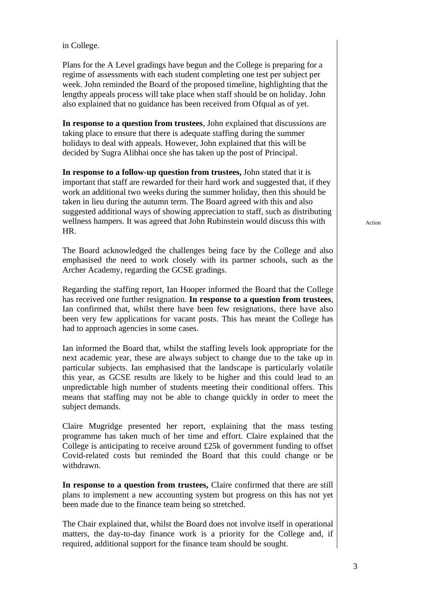in College.

Plans for the A Level gradings have begun and the College is preparing for a regime of assessments with each student completing one test per subject per week. John reminded the Board of the proposed timeline, highlighting that the lengthy appeals process will take place when staff should be on holiday. John also explained that no guidance has been received from Ofqual as of yet.

**In response to a question from trustees**, John explained that discussions are taking place to ensure that there is adequate staffing during the summer holidays to deal with appeals. However, John explained that this will be decided by Sugra Alibhai once she has taken up the post of Principal.

**In response to a follow-up question from trustees,** John stated that it is important that staff are rewarded for their hard work and suggested that, if they work an additional two weeks during the summer holiday, then this should be taken in lieu during the autumn term. The Board agreed with this and also suggested additional ways of showing appreciation to staff, such as distributing wellness hampers. It was agreed that John Rubinstein would discuss this with HR.

The Board acknowledged the challenges being face by the College and also emphasised the need to work closely with its partner schools, such as the Archer Academy, regarding the GCSE gradings.

Regarding the staffing report, Ian Hooper informed the Board that the College has received one further resignation. **In response to a question from trustees**, Ian confirmed that, whilst there have been few resignations, there have also been very few applications for vacant posts. This has meant the College has had to approach agencies in some cases.

Ian informed the Board that, whilst the staffing levels look appropriate for the next academic year, these are always subject to change due to the take up in particular subjects. Ian emphasised that the landscape is particularly volatile this year, as GCSE results are likely to be higher and this could lead to an unpredictable high number of students meeting their conditional offers. This means that staffing may not be able to change quickly in order to meet the subject demands.

Claire Mugridge presented her report, explaining that the mass testing programme has taken much of her time and effort. Claire explained that the College is anticipating to receive around £25k of government funding to offset Covid-related costs but reminded the Board that this could change or be withdrawn.

**In response to a question from trustees,** Claire confirmed that there are still plans to implement a new accounting system but progress on this has not yet been made due to the finance team being so stretched.

The Chair explained that, whilst the Board does not involve itself in operational matters, the day-to-day finance work is a priority for the College and, if required, additional support for the finance team should be sought.

Action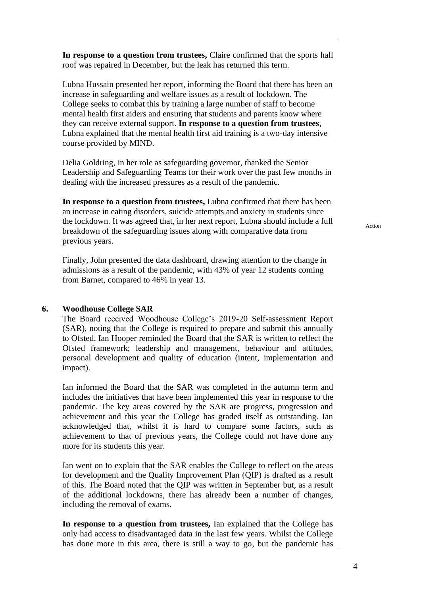**In response to a question from trustees,** Claire confirmed that the sports hall roof was repaired in December, but the leak has returned this term.

Lubna Hussain presented her report, informing the Board that there has been an increase in safeguarding and welfare issues as a result of lockdown. The College seeks to combat this by training a large number of staff to become mental health first aiders and ensuring that students and parents know where they can receive external support. **In response to a question from trustees**, Lubna explained that the mental health first aid training is a two-day intensive course provided by MIND.

Delia Goldring, in her role as safeguarding governor, thanked the Senior Leadership and Safeguarding Teams for their work over the past few months in dealing with the increased pressures as a result of the pandemic.

**In response to a question from trustees,** Lubna confirmed that there has been an increase in eating disorders, suicide attempts and anxiety in students since the lockdown. It was agreed that, in her next report, Lubna should include a full breakdown of the safeguarding issues along with comparative data from previous years.

Finally, John presented the data dashboard, drawing attention to the change in admissions as a result of the pandemic, with 43% of year 12 students coming from Barnet, compared to 46% in year 13.

#### **6. Woodhouse College SAR**

The Board received Woodhouse College's 2019-20 Self-assessment Report (SAR), noting that the College is required to prepare and submit this annually to Ofsted. Ian Hooper reminded the Board that the SAR is written to reflect the Ofsted framework; leadership and management, behaviour and attitudes, personal development and quality of education (intent, implementation and impact).

Ian informed the Board that the SAR was completed in the autumn term and includes the initiatives that have been implemented this year in response to the pandemic. The key areas covered by the SAR are progress, progression and achievement and this year the College has graded itself as outstanding. Ian acknowledged that, whilst it is hard to compare some factors, such as achievement to that of previous years, the College could not have done any more for its students this year.

Ian went on to explain that the SAR enables the College to reflect on the areas for development and the Quality Improvement Plan (QIP) is drafted as a result of this. The Board noted that the QIP was written in September but, as a result of the additional lockdowns, there has already been a number of changes, including the removal of exams.

**In response to a question from trustees,** Ian explained that the College has only had access to disadvantaged data in the last few years. Whilst the College has done more in this area, there is still a way to go, but the pandemic has Action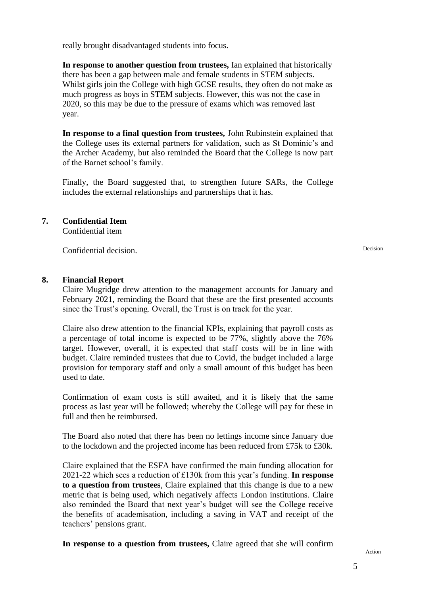really brought disadvantaged students into focus.

**In response to another question from trustees,** Ian explained that historically there has been a gap between male and female students in STEM subjects. Whilst girls join the College with high GCSE results, they often do not make as much progress as boys in STEM subjects. However, this was not the case in 2020, so this may be due to the pressure of exams which was removed last year.

**In response to a final question from trustees,** John Rubinstein explained that the College uses its external partners for validation, such as St Dominic's and the Archer Academy, but also reminded the Board that the College is now part of the Barnet school's family.

Finally, the Board suggested that, to strengthen future SARs, the College includes the external relationships and partnerships that it has.

#### **7. Confidential Item**

Confidential item

Confidential decision.

#### **8. Financial Report**

Claire Mugridge drew attention to the management accounts for January and February 2021, reminding the Board that these are the first presented accounts since the Trust's opening. Overall, the Trust is on track for the year.

Claire also drew attention to the financial KPIs, explaining that payroll costs as a percentage of total income is expected to be 77%, slightly above the 76% target. However, overall, it is expected that staff costs will be in line with budget. Claire reminded trustees that due to Covid, the budget included a large provision for temporary staff and only a small amount of this budget has been used to date.

Confirmation of exam costs is still awaited, and it is likely that the same process as last year will be followed; whereby the College will pay for these in full and then be reimbursed.

The Board also noted that there has been no lettings income since January due to the lockdown and the projected income has been reduced from £75k to £30k.

Claire explained that the ESFA have confirmed the main funding allocation for 2021-22 which sees a reduction of £130k from this year's funding. **In response to a question from trustees**, Claire explained that this change is due to a new metric that is being used, which negatively affects London institutions. Claire also reminded the Board that next year's budget will see the College receive the benefits of academisation, including a saving in VAT and receipt of the teachers' pensions grant.

**In response to a question from trustees,** Claire agreed that she will confirm

Action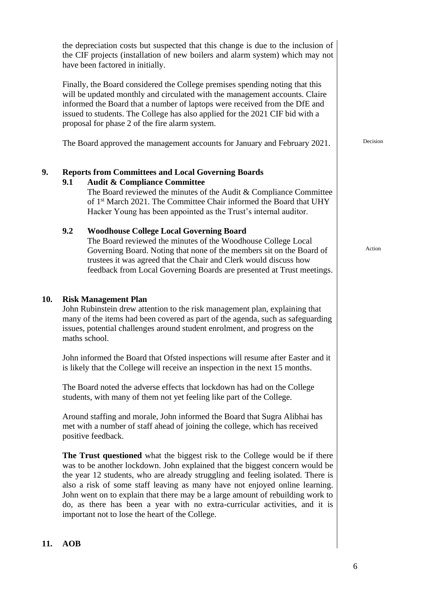the depreciation costs but suspected that this change is due to the inclusion of the CIF projects (installation of new boilers and alarm system) which may not have been factored in initially. Finally, the Board considered the College premises spending noting that this will be updated monthly and circulated with the management accounts. Claire informed the Board that a number of laptops were received from the DfE and issued to students. The College has also applied for the 2021 CIF bid with a proposal for phase 2 of the fire alarm system. The Board approved the management accounts for January and February 2021. **9. Reports from Committees and Local Governing Boards 9.1 Audit & Compliance Committee** The Board reviewed the minutes of the Audit & Compliance Committee of 1st March 2021. The Committee Chair informed the Board that UHY Hacker Young has been appointed as the Trust's internal auditor. **9.2 Woodhouse College Local Governing Board** The Board reviewed the minutes of the Woodhouse College Local Governing Board. Noting that none of the members sit on the Board of trustees it was agreed that the Chair and Clerk would discuss how feedback from Local Governing Boards are presented at Trust meetings. Action **10. Risk Management Plan** John Rubinstein drew attention to the risk management plan, explaining that many of the items had been covered as part of the agenda, such as safeguarding issues, potential challenges around student enrolment, and progress on the maths school. John informed the Board that Ofsted inspections will resume after Easter and it is likely that the College will receive an inspection in the next 15 months. The Board noted the adverse effects that lockdown has had on the College students, with many of them not yet feeling like part of the College. Around staffing and morale, John informed the Board that Sugra Alibhai has met with a number of staff ahead of joining the college, which has received positive feedback. **The Trust questioned** what the biggest risk to the College would be if there was to be another lockdown. John explained that the biggest concern would be the year 12 students, who are already struggling and feeling isolated. There is also a risk of some staff leaving as many have not enjoyed online learning. John went on to explain that there may be a large amount of rebuilding work to do, as there has been a year with no extra-curricular activities, and it is important not to lose the heart of the College.